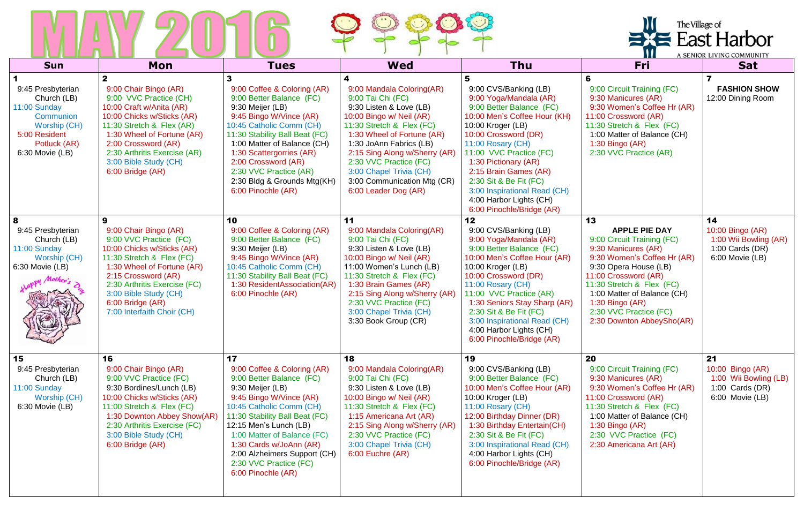|                                                                                                                                   |                                                                                                                                                                                                                                                                                 |                                                                                                                                                                                                                                                                                                                                                |                                                                                                                                                                                                                                                                                                                                          |                                                                                                                                                                                                                                                                                                                                                                                  |                                                                                                                                                                                                                                                                                                       | The Village of<br><b>XE</b> East Harbor<br>A SENIOR LIVING COMMUNITY                    |  |
|-----------------------------------------------------------------------------------------------------------------------------------|---------------------------------------------------------------------------------------------------------------------------------------------------------------------------------------------------------------------------------------------------------------------------------|------------------------------------------------------------------------------------------------------------------------------------------------------------------------------------------------------------------------------------------------------------------------------------------------------------------------------------------------|------------------------------------------------------------------------------------------------------------------------------------------------------------------------------------------------------------------------------------------------------------------------------------------------------------------------------------------|----------------------------------------------------------------------------------------------------------------------------------------------------------------------------------------------------------------------------------------------------------------------------------------------------------------------------------------------------------------------------------|-------------------------------------------------------------------------------------------------------------------------------------------------------------------------------------------------------------------------------------------------------------------------------------------------------|-----------------------------------------------------------------------------------------|--|
| <b>Sun</b>                                                                                                                        | Mon                                                                                                                                                                                                                                                                             | <b>Tues</b>                                                                                                                                                                                                                                                                                                                                    | <b>Wed</b>                                                                                                                                                                                                                                                                                                                               | Thu                                                                                                                                                                                                                                                                                                                                                                              | Fri                                                                                                                                                                                                                                                                                                   | <b>Sat</b>                                                                              |  |
| 9:45 Presbyterian<br>Church (LB)<br>11:00 Sunday<br>Communion<br>Worship (CH)<br>5:00 Resident<br>Potluck (AR)<br>6:30 Movie (LB) | 9:00 Chair Bingo (AR)<br>9:00 VVC Practice (CH)<br>10:00 Craft w/Anita (AR)<br>10:00 Chicks w/Sticks (AR)<br>11:30 Stretch & Flex (AR)<br>1:30 Wheel of Fortune (AR)<br>2:00 Crossword (AR)<br>2:30 Arthritis Exercise (AR)<br>3:00 Bible Study (CH)<br>6:00 Bridge (AR)        | 9:00 Coffee & Coloring (AR)<br>9:00 Better Balance (FC)<br>9:30 Meijer (LB)<br>9:45 Bingo W/Vince (AR)<br>10:45 Catholic Comm (CH)<br>11:30 Stability Ball Beat (FC)<br>1:00 Matter of Balance (CH)<br>1:30 Scattergorries (AR)<br>2:00 Crossword (AR)<br>2:30 VVC Practice (AR)<br>2:30 Bldg & Grounds Mtg(KH)<br>6:00 Pinochle (AR)          | 9:00 Mandala Coloring(AR)<br>9:00 Tai Chi (FC)<br>9:30 Listen & Love (LB)<br>10:00 Bingo w/ Neil (AR)<br>11:30 Stretch & Flex (FC)<br>1:30 Wheel of Fortune (AR)<br>1:30 JoAnn Fabrics (LB)<br>2:15 Sing Along w/Sherry (AR)<br>2:30 VVC Practice (FC)<br>3:00 Chapel Trivia (CH)<br>3:00 Communication Mtg (CR)<br>6:00 Leader Dog (AR) | 5<br>9:00 CVS/Banking (LB)<br>9:00 Yoga/Mandala (AR)<br>9:00 Better Balance (FC)<br>10:00 Men's Coffee Hour (KH)<br>10:00 Kroger (LB)<br>10:00 Crossword (DR)<br>11:00 Rosary (CH)<br>11:00 VVC Practice (FC)<br>1:30 Pictionary (AR)<br>2:15 Brain Games (AR)<br>2:30 Sit & Be Fit (FC)<br>3:00 Inspirational Read (CH)<br>4:00 Harbor Lights (CH)<br>6:00 Pinochle/Bridge (AR) | 6<br>9:00 Circuit Training (FC)<br>9:30 Manicures (AR)<br>9:30 Women's Coffee Hr (AR)<br>11:00 Crossword (AR)<br>11:30 Stretch & Flex (FC)<br>1:00 Matter of Balance (CH)<br>1:30 Bingo (AR)<br>2:30 VVC Practice (AR)                                                                                | <b>FASHION SHOW</b><br>12:00 Dining Room                                                |  |
| 8<br>9:45 Presbyterian<br>Church (LB)<br>11:00 Sunday<br>Worship (CH)<br>6:30 Movie (LB)                                          | 9<br>9:00 Chair Bingo (AR)<br>9:00 VVC Practice (FC)<br>10:00 Chicks w/Sticks (AR)<br>11:30 Stretch & Flex (FC)<br>1:30 Wheel of Fortune (AR)<br>2:15 Crossword (AR)<br>2:30 Arthritis Exercise (FC)<br>3:00 Bible Study (CH)<br>6:00 Bridge (AR)<br>7:00 Interfaith Choir (CH) | 10<br>9:00 Coffee & Coloring (AR)<br>9:00 Better Balance (FC)<br>9:30 Meijer (LB)<br>9:45 Bingo W/Vince (AR)<br>10:45 Catholic Comm (CH)<br>11:30 Stability Ball Beat (FC)<br>1:30 ResidentAssociation(AR)<br>6:00 Pinochle (AR)                                                                                                               | 11<br>9:00 Mandala Coloring(AR)<br>9:00 Tai Chi (FC)<br>9:30 Listen & Love (LB)<br>10:00 Bingo w/ Neil (AR)<br>11:00 Women's Lunch (LB)<br>11:30 Stretch & Flex (FC)<br>1:30 Brain Games (AR)<br>2:15 Sing Along w/Sherry (AR)<br>2:30 VVC Practice (FC)<br>3:00 Chapel Trivia (CH)<br>3:30 Book Group (CR)                              | 12<br>9:00 CVS/Banking (LB)<br>9:00 Yoga/Mandala (AR)<br>9:00 Better Balance (FC)<br>10:00 Men's Coffee Hour (AR)<br>10:00 Kroger (LB)<br>10:00 Crossword (DR)<br>11:00 Rosary (CH)<br>11:00 VVC Practice (AR)<br>1:30 Seniors Stay Sharp (AR)<br>2:30 Sit & Be Fit (FC)<br>3:00 Inspirational Read (CH)<br>4:00 Harbor Lights (CH)<br>6:00 Pinochle/Bridge (AR)                 | 13<br><b>APPLE PIE DAY</b><br>9:00 Circuit Training (FC)<br>9:30 Manicures (AR)<br>9:30 Women's Coffee Hr (AR)<br>9:30 Opera House (LB)<br>11:00 Crossword (AR)<br>11:30 Stretch & Flex (FC)<br>1:00 Matter of Balance (CH)<br>1:30 Bingo (AR)<br>2:30 VVC Practice (FC)<br>2:30 Downton AbbeySho(AR) | 14<br>10:00 Bingo (AR)<br>1:00 Wii Bowling (AR)<br>1:00 Cards $(DR)$<br>6:00 Movie (LB) |  |
| 15<br>9:45 Presbyterian<br>Church (LB)<br>11:00 Sunday<br>Worship (CH)<br>6:30 Movie (LB)                                         | 16<br>9:00 Chair Bingo (AR)<br>9:00 VVC Practice (FC)<br>9:30 Bordines/Lunch (LB)<br>10:00 Chicks w/Sticks (AR)<br>11:00 Stretch & Flex (FC)<br>1:30 Downton Abbey Show(AR)<br>2:30 Arthritis Exercise (FC)<br>3:00 Bible Study (CH)<br>6:00 Bridge (AR)                        | 17<br>9:00 Coffee & Coloring (AR)<br>9:00 Better Balance (FC)<br>9:30 Meijer (LB)<br>9:45 Bingo W/Vince (AR)<br>10:45 Catholic Comm (CH)<br>11:30 Stability Ball Beat (FC)<br>12:15 Men's Lunch (LB)<br>1:00 Matter of Balance (FC)<br>1:30 Cards w/JoAnn (AR)<br>2:00 Alzheimers Support (CH)<br>2:30 VVC Practice (FC)<br>6:00 Pinochle (AR) | 18<br>9:00 Mandala Coloring(AR)<br>9:00 Tai Chi (FC)<br>9:30 Listen & Love (LB)<br>10:00 Bingo w/ Neil (AR)<br>11:30 Stretch & Flex (FC)<br>1:15 Americana Art (AR)<br>2:15 Sing Along w/Sherry (AR)<br>2:30 VVC Practice (FC)<br>3:00 Chapel Trivia (CH)<br>6:00 Euchre (AR)                                                            | 19<br>9:00 CVS/Banking (LB)<br>9:00 Better Balance (FC)<br>10:00 Men's Coffee Hour (AR)<br>10:00 Kroger (LB)<br>11:00 Rosary (CH)<br>12:00 Birthday Dinner (DR)<br>1:30 Birthday Entertain(CH)<br>2:30 Sit & Be Fit (FC)<br>3:00 Inspirational Read (CH)<br>4:00 Harbor Lights (CH)<br>6:00 Pinochle/Bridge (AR)                                                                 | 20<br>9:00 Circuit Training (FC)<br>9:30 Manicures (AR)<br>9:30 Women's Coffee Hr (AR)<br>11:00 Crossword (AR)<br>11:30 Stretch & Flex (FC)<br>1:00 Matter of Balance (CH)<br>1:30 Bingo $(AR)$<br>2:30 VVC Practice (FC)<br>2:30 Americana Art (AR)                                                  | 21<br>10:00 Bingo (AR)<br>1:00 Wii Bowling (LB)<br>1:00 Cards $(DR)$<br>6:00 Movie (LB) |  |